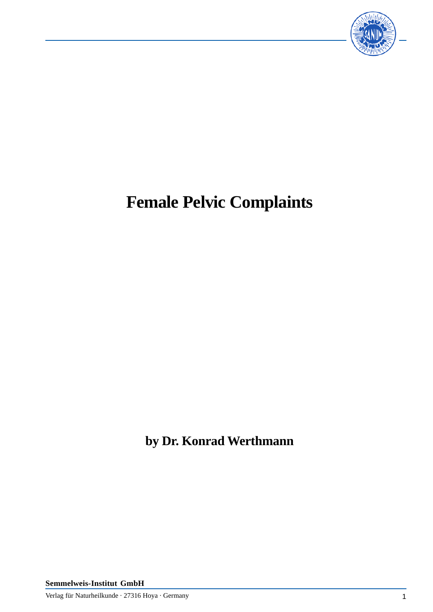

# **Female Pelvic Complaints**

**by Dr. Konrad Werthmann**

**Semmelweis-Institut GmbH**

Verlag für Naturheilkunde · 27316 Hoya · Germany 1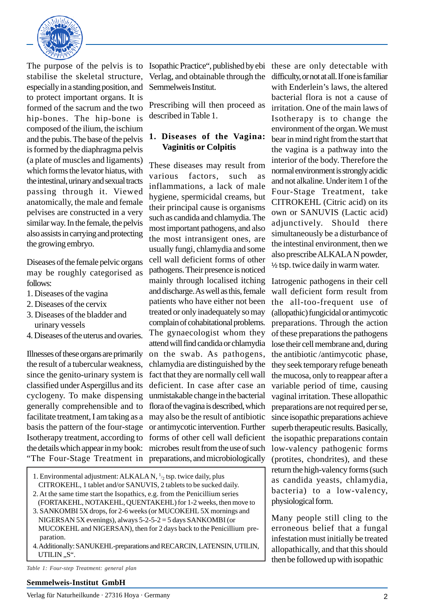

The purpose of the pelvis is to stabilise the skeletal structure, especially in a standing position, and to protect important organs. It is formed of the sacrum and the two hip-bones. The hip-bone is composed of the ilium, the ischium and the pubis. The base of the pelvis is formed by the diaphragma pelvis (a plate of muscles and ligaments) which forms the levator hiatus, with the intestinal, urinary and sexual tracts passing through it. Viewed anatomically, the male and female pelvises are constructed in a very similar way. In the female, the pelvis also assists in carrying and protecting the growing embryo.

Diseases of the female pelvic organs may be roughly categorised as follows:

- 1. Diseases of the vagina
- 2. Diseases of the cervix
- 3. Diseases of the bladder and urinary vessels
- 4. Diseases of the uterus and ovaries.

Illnesses of these organs are primarily the result of a tubercular weakness, since the genito-urinary system is classified under Aspergillus and its cyclogeny. To make dispensing generally comprehensible and to facilitate treatment, I am taking as a basis the pattern of the four-stage Isotherapy treatment, according to forms of other cell wall deficient the details which appear in my book: microbes result from the use of such

Isopathic Practice", published by ebi these are only detectable with Verlag, and obtainable through the Semmelweis Institut.

Prescribing will then proceed as described in Table 1.

# **1. Diseases of the Vagina: Vaginitis or Colpitis**

"The Four-Stage Treatment in preparations, and microbiologically These diseases may result from various factors, such as inflammations, a lack of male hygiene, spermicidal creams, but their principal cause is organisms such as candida and chlamydia. The most important pathogens, and also the most intransigent ones, are usually fungi, chlamydia and some cell wall deficient forms of other pathogens. Their presence is noticed mainly through localised itching and discharge. As well as this, female patients who have either not been treated or only inadequately so may complain of cohabitational problems. The gynaecologist whom they attend will find candida or chlamydia on the swab. As pathogens, chlamydia are distinguished by the fact that they are normally cell wall deficient. In case after case an unmistakable change in the bacterial flora of the vagina is described, which may also be the result of antibiotic or antimycotic intervention. Further

- 1. Environmental adjustment: ALKALA N, 1/ 2 tsp. twice daily, plus CITROKEHL, 1 tablet and/or SANUVIS, 2 tablets to be sucked daily.
- 2. At the same time start the Isopathics, e.g. from the Penicillium series (FORTAKEHL, NOTAKEHL, QUENTAKEHL) for 1-2 weeks, then move to
- 3. SANKOMBI 5X drops, for 2-6 weeks (or MUCOKEHL 5X mornings and NIGERSAN 5X evenings), always 5-2-5-2 = 5 days SANKOMBI (or MUCOKEHL and NIGERSAN), then for 2 days back to the Penicillium pre paration.
- 4. Additionally: SANUKEHL-preparations and RECARCIN, LATENSIN, UTILIN, UTILIN ..S".

*Table 1: Four-step Treatment: general plan*

#### **Semmelweis-Institut GmbH**

Verlag für Naturheilkunde · 27316 Hoya · Germany 2

difficulty, or not at all. If one is familiar with Enderlein's laws, the altered bacterial flora is not a cause of irritation. One of the main laws of Isotherapy is to change the environment of the organ. We must bear in mind right from the start that the vagina is a pathway into the interior of the body. Therefore the normal environment is strongly acidic and not alkaline. Under item 1 of the Four-Stage Treatment, take CITROKEHL (Citric acid) on its own or SANUVIS (Lactic acid) adjunctively. Should there simultaneously be a disturbance of the intestinal environment, then we also prescribe ALKALA N powder, ½ tsp. twice daily in warm water.

Iatrogenic pathogens in their cell wall deficient form result from the all-too-frequent use of (allopathic) fungicidal or antimycotic preparations. Through the action of these preparations the pathogens lose their cell membrane and, during the antibiotic /antimycotic phase, they seek temporary refuge beneath the mucosa, only to reappear after a variable period of time, causing vaginal irritation. These allopathic preparations are not required per se, since isopathic preparations achieve superb therapeutic results. Basically, the isopathic preparations contain low-valency pathogenic forms (protites, chondrites), and these return the high-valency forms (such as candida yeasts, chlamydia, bacteria) to a low-valency, physiological form.

Many people still cling to the erroneous belief that a fungal infestation must initially be treated allopathically, and that this should then be followed up with isopathic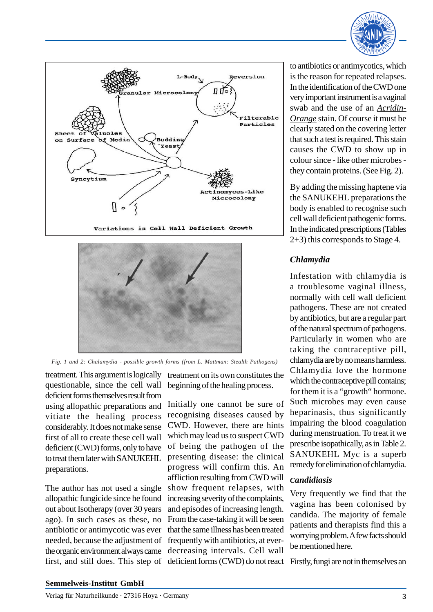





*Fig. 1 and 2: Chalamydia - possible growth forms (from L. Mattman: Stealth Pathogens)*

treatment. This argument is logically questionable, since the cell wall deficient forms themselves result from using allopathic preparations and vitiate the healing process considerably. It does not make sense first of all to create these cell wall deficient (CWD) forms, only to have to treat them later with SANUKEHL preparations.

The author has not used a single allopathic fungicide since he found out about Isotherapy (over 30 years ago). In such cases as these, no antibiotic or antimycotic was ever needed, because the adjustment of the organic environment always came first, and still does. This step of

treatment on its own constitutes the beginning of the healing process.

Initially one cannot be sure of recognising diseases caused by CWD. However, there are hints which may lead us to suspect CWD of being the pathogen of the presenting disease: the clinical progress will confirm this. An affliction resulting from CWD will show frequent relapses, with increasing severity of the complaints, and episodes of increasing length. From the case-taking it will be seen that the same illness has been treated frequently with antibiotics, at everdecreasing intervals. Cell wall deficient forms (CWD) do not react Firstly, fungi are not in themselves an

to antibiotics or antimycotics, which is the reason for repeated relapses. In the identification of the CWD one very important instrument is a vaginal swab and the use of an *Acridin-Orange* stain. Of course it must be clearly stated on the covering letter that such a test is required. This stain causes the CWD to show up in colour since - like other microbes they contain proteins. (See Fig. 2).

By adding the missing haptene via the SANUKEHL preparations the body is enabled to recognise such cell wall deficient pathogenic forms. In the indicated prescriptions (Tables 2+3) this corresponds to Stage 4.

# *Chlamydia*

Infestation with chlamydia is a troublesome vaginal illness, normally with cell wall deficient pathogens. These are not created by antibiotics, but are a regular part of the natural spectrum of pathogens. Particularly in women who are taking the contraceptive pill, chlamydia are by no means harmless. Chlamydia love the hormone which the contraceptive pill contains; for them it is a "growth" hormone. Such microbes may even cause heparinasis, thus significantly impairing the blood coagulation during menstruation. To treat it we prescribe isopathically, as in Table 2. SANUKEHL Myc is a superb remedy for elimination of chlamydia.

# *Candidiasis*

Very frequently we find that the vagina has been colonised by candida. The majority of female patients and therapists find this a worrying problem. A few facts should be mentioned here.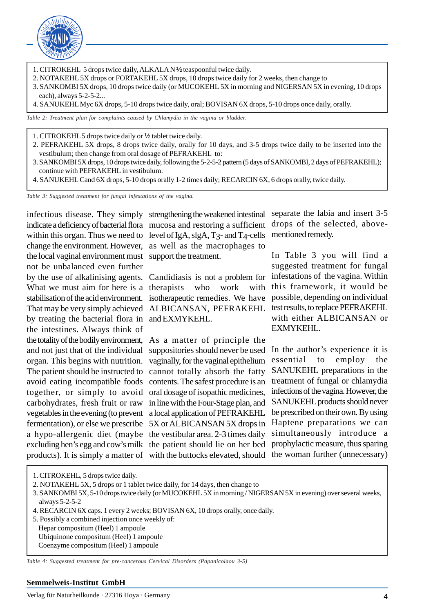

- 1. CITROKEHL 5 drops twice daily, ALKALA N 1/2 teaspoonful twice daily.
- 2. NOTAKEHL 5X drops or FORTAKEHL 5X drops, 10 drops twice daily for 2 weeks, then change to
- 3. SANKOMBI 5X drops, 10 drops twice daily (or MUCOKEHL 5X in morning and NIGERSAN 5X in evening, 10 drops each), always 5-2-5-2...
- 4. SANUKEHL Myc 6X drops, 5-10 drops twice daily, oral; BOVISAN 6X drops, 5-10 drops once daily, orally.

*Table 2: Treatment plan for complaints caused by Chlamydia in the vagina or bladder.*

- 1. CITROKEHL 5 drops twice daily or ½ tablet twice daily.
- 2. PEFRAKEHL 5X drops, 8 drops twice daily, orally for 10 days, and 3-5 drops twice daily to be inserted into the vestibulum; then change from oral dosage of PEFRAKEHL to:
- 3. SANKOMBI 5X drops, 10 drops twice daily, following the 5-2-5-2 pattern (5 days of SANKOMBI, 2 days of PEFRAKEHL); continue with PEFRAKEHL in vestibulum.
- 4. SANUKEHL Cand 6X drops, 5-10 drops orally 1-2 times daily; RECARCIN 6X, 6 drops orally, twice daily.

*Table 3: Suggested treatment for fungal infestations of the vagina.*

indicate a deficiency of bacterial flora mucosa and restoring a sufficient within this organ. Thus we need to level of IgA, slgA, T3- and T4-cells change the environment. However, as well as the macrophages to the local vaginal environment must support the treatment. by the use of alkalinising agents. Candidiasis is not a problem for What we must aim for here is a therapists who work with stabilisation of the acid environment. isotherapeutic remedies. We have That may be very simply achieved ALBICANSAN, PEFRAKEHL by treating the bacterial flora in and EXMYKEHL. the totality of the bodily environment, As a matter of principle the The patient should be instructed to cannot totally absorb the fatty avoid eating incompatible foods contents. The safest procedure is an vegetables in the evening (to prevent a local application of PEFRAKEHL fermentation), or else we prescribe 5X or ALBICANSAN 5X drops in a hypo-allergenic diet (maybe the vestibular area. 2-3 times daily excluding hen's egg and cow's milk the patient should lie on her bed not be unbalanced even further the intestines. Always think of and not just that of the individual organ. This begins with nutrition. together, or simply to avoid carbohydrates, fresh fruit or raw

infectious disease. They simply strengthening the weakened intestinal

suppositories should never be used vaginally, for the vaginal epithelium oral dosage of isopathic medicines, in line with the Four-Stage plan, and

separate the labia and insert 3-5 drops of the selected, abovementioned remedy.

In Table 3 you will find a suggested treatment for fungal infestations of the vagina. Within this framework, it would be possible, depending on individual test results, to replace PEFRAKEHL with either ALBICANSAN or EXMYKEHL.

products). It is simply a matter of with the buttocks elevated, should the woman further (unnecessary) In the author's experience it is essential to employ the SANUKEHL preparations in the treatment of fungal or chlamydia infections of the vagina. However, the SANUKEHL products should never be prescribed on their own. By using Haptene preparations we can simultaneously introduce a prophylactic measure, thus sparing

- 1. CITROKEHL, 5 drops twice daily.
- 2. NOTAKEHL 5X, 5 drops or 1 tablet twice daily, for 14 days, then change to
- 3. SANKOMBI 5X, 5-10 drops twice daily (or MUCOKEHL 5X in morning / NIGERSAN 5X in evening) over several weeks, always 5-2-5-2
- 4. RECARCIN 6X caps. 1 every 2 weeks; BOVISAN 6X, 10 drops orally, once daily.
- 5. Possibly a combined injection once weekly of:
- Hepar compositum (Heel) 1 ampoule Ubiquinone compositum (Heel) 1 ampoule Coenzyme compositum (Heel) 1 ampoule

*Table 4: Suggested treatment for pre-cancerous Cervical Disorders (Papanicolaou 3-5)*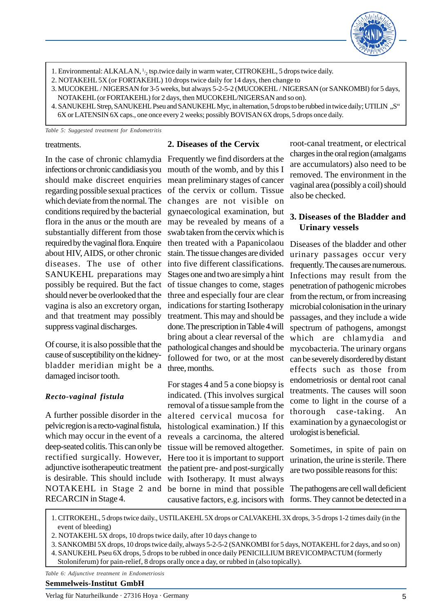

- 1. Environmental: ALKALA N,  $1/2$  tsp.twice daily in warm water, CITROKEHL, 5 drops twice daily.
- 2. NOTAKEHL 5X (or FORTAKEHL) 10 drops twice daily for 14 days, then change to
- 3. MUCOKEHL / NIGERSAN for 3-5 weeks, but always 5-2-5-2 (MUCOKEHL / NIGERSAN (or SANKOMBI) for 5 days, NOTAKEHL (or FORTAKEHL) for 2 days, then MUCOKEHL/NIGERSAN and so on).
- 4. SANUKEHL Strep, SANUKEHL Pseu and SANUKEHL Myc, in alternation, 5 drops to be rubbed in twice daily; UTILIN "S" 6X or LATENSIN 6X caps., one once every 2 weeks; possibly BOVISAN 6X drops, 5 drops once daily.

*Table 5: Suggested treatment for Endometritis*

#### treatments.

In the case of chronic chlamydia Frequently we find disorders at the infections or chronic candidiasis you mouth of the womb, and by this I should make discreet enquiries regarding possible sexual practices which deviate from the normal. The conditions required by the bacterial flora in the anus or the mouth are substantially different from those required by the vaginal flora. Enquire about HIV, AIDS, or other chronic diseases. The use of other SANUKEHL preparations may possibly be required. But the fact should never be overlooked that the vagina is also an excretory organ, and that treatment may possibly suppress vaginal discharges.

Of course, it is also possible that the cause of susceptibility on the kidneybladder meridian might be a damaged incisor tooth.

#### *Recto-vaginal fistula*

A further possible disorder in the pelvic region is a recto-vaginal fistula, which may occur in the event of a deep-seated colitis. This can only be rectified surgically. However, adjunctive isotherapeutic treatment is desirable. This should include NOTAKEHL in Stage 2 and RECARCIN in Stage 4.

#### **2. Diseases of the Cervix**

mean preliminary stages of cancer of the cervix or collum. Tissue changes are not visible on gynaecological examination, but may be revealed by means of a swab taken from the cervix which is then treated with a Papanicolaou stain. The tissue changes are divided into five different classifications. Stages one and two are simply a hint of tissue changes to come, stages three and especially four are clear indications for starting Isotherapy treatment. This may and should be done. The prescription in Table 4 will bring about a clear reversal of the pathological changes and should be followed for two, or at the most three, months.

For stages 4 and 5 a cone biopsy is indicated. (This involves surgical removal of a tissue sample from the altered cervical mucosa for histological examination.) If this reveals a carcinoma, the altered tissue will be removed altogether. Here too it is important to support the patient pre- and post-surgically with Isotherapy. It must always be borne in mind that possible causative factors, e.g. incisors with forms. They cannot be detected in a

root-canal treatment, or electrical charges in the oral region (amalgams are accumulators) also need to be removed. The environment in the vaginal area (possibly a coil) should also be checked.

#### **3. Diseases of the Bladder and Urinary vessels**

Diseases of the bladder and other urinary passages occur very frequently. The causes are numerous. Infections may result from the penetration of pathogenic microbes from the rectum, or from increasing microbial colonisation in the urinary passages, and they include a wide spectrum of pathogens, amongst which are chlamydia and mycobacteria. The urinary organs can be severely disordered by distant effects such as those from endometriosis or dental root canal treatments. The causes will soon come to light in the course of a thorough case-taking. An examination by a gynaecologist or urologist is beneficial.

Sometimes, in spite of pain on urination, the urine is sterile. There are two possible reasons for this:

The pathogens are cell wall deficient

1. CITROKEHL, 5 drops twice daily., USTILAKEHL 5X drops or CALVAKEHL 3X drops, 3-5 drops 1-2 times daily (in the event of bleeding)

2. NOTAKEHL 5X drops, 10 drops twice daily, after 10 days change to

3. SANKOMBI 5X drops, 10 drops twice daily, always 5-2-5-2 (SANKOMBI for 5 days, NOTAKEHL for 2 days, and so on) 4. SANUKEHL Pseu 6X drops, 5 drops to be rubbed in once daily PENICILLIUM BREVICOMPACTUM (formerly

Stoloniferum) for pain-relief, 8 drops orally once a day, or rubbed in (also topically).

*Table 6: Adjunctive treatment in Endometriosis*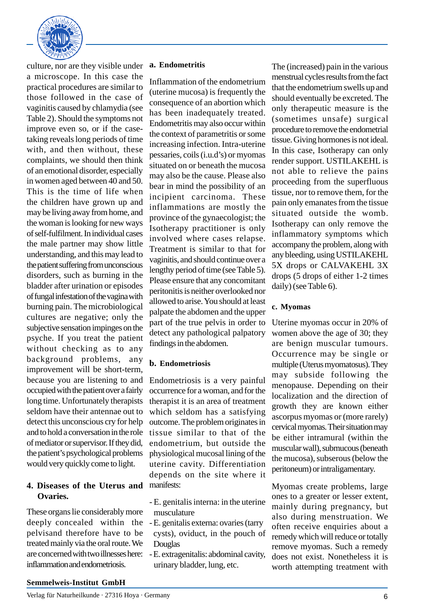

culture, nor are they visible under a microscope. In this case the practical procedures are similar to those followed in the case of vaginitis caused by chlamydia (see Table 2). Should the symptoms not improve even so, or if the casetaking reveals long periods of time with, and then without, these complaints, we should then think of an emotional disorder, especially in women aged between 40 and 50. This is the time of life when the children have grown up and may be living away from home, and the woman is looking for new ways of self-fulfilment. In individual cases the male partner may show little understanding, and this may lead to the patient suffering from unconscious disorders, such as burning in the bladder after urination or episodes of fungal infestation of the vagina with burning pain. The microbiological cultures are negative; only the subjective sensation impinges on the psyche. If you treat the patient without checking as to any background problems, any improvement will be short-term, because you are listening to and occupied with the patient over a fairly long time. Unfortunately therapists seldom have their antennae out to detect this unconscious cry for help and to hold a conversation in the role of mediator or supervisor. If they did, the patient's psychological problems would very quickly come to light.

# **4. Diseases of the Uterus and Ovaries.**

These organs lie considerably more deeply concealed within the pelvisand therefore have to be treated mainly via the oral route. We are concerned with two illnesses here: inflammation and endometriosis.

#### **a. Endometritis**

Inflammation of the endometrium (uterine mucosa) is frequently the consequence of an abortion which has been inadequately treated. Endometritis may also occur within the context of parametritis or some increasing infection. Intra-uterine pessaries, coils (i.u.d's) or myomas situated on or beneath the mucosa may also be the cause. Please also bear in mind the possibility of an incipient carcinoma. These inflammations are mostly the province of the gynaecologist; the Isotherapy practitioner is only involved where cases relapse. Treatment is similar to that for vaginitis, and should continue over a lengthy period of time (see Table 5). Please ensure that any concomitant peritonitis is neither overlooked nor allowed to arise. You should at least palpate the abdomen and the upper part of the true pelvis in order to detect any pathological palpatory findings in the abdomen.

# **b. Endometriosis**

Endometriosis is a very painful occurrence for a woman, and for the therapist it is an area of treatment which seldom has a satisfying outcome. The problem originates in tissue similar to that of the endometrium, but outside the physiological mucosal lining of the uterine cavity. Differentiation depends on the site where it manifests:

- E. genitalis interna: in the uterine musculature
- E. genitalis externa: ovaries (tarry cysts), oviduct, in the pouch of Douglas
- E. extragenitalis: abdominal cavity, urinary bladder, lung, etc.

The (increased) pain in the various menstrual cycles results from the fact that the endometrium swells up and should eventually be excreted. The only therapeutic measure is the (sometimes unsafe) surgical procedure to remove the endometrial tissue. Giving hormones is not ideal. In this case, Isotherapy can only render support. USTILAKEHL is not able to relieve the pains proceeding from the superfluous tissue, nor to remove them, for the pain only emanates from the tissue situated outside the womb. Isotherapy can only remove the inflammatory symptoms which accompany the problem, along with any bleeding, using USTILAKEHL 5X drops or CALVAKEHL 3X drops (5 drops of either 1-2 times daily) (see Table 6).

# **c. Myomas**

Uterine myomas occur in 20% of women above the age of 30; they are benign muscular tumours. Occurrence may be single or multiple (Uterus myomatosus). They may subside following the menopause. Depending on their localization and the direction of growth they are known either ascorpus myomas or (more rarely) cervical myomas. Their situation may be either intramural (within the muscular wall), submucous (beneath the mucosa), subserous (below the peritoneum) or intraligamentary.

Myomas create problems, large ones to a greater or lesser extent, mainly during pregnancy, but also during menstruation. We often receive enquiries about a remedy which will reduce or totally remove myomas. Such a remedy does not exist. Nonetheless it is worth attempting treatment with

# **Semmelweis-Institut GmbH**